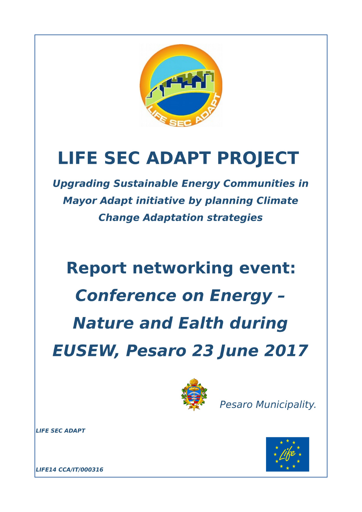

# **LIFE SEC ADAPT PROJECT**

**Upgrading Sustainable Energy Communities in Mayor Adapt initiative by planning Climate Change Adaptation strategies** 

# **Report networking event: Conference on Energy -Nature and Ealth during EUSEW, Pesaro 23 June 2017**



Pesaro Municipality.

LIFE SEC ADAPT



LIFE14 CCA/IT/000316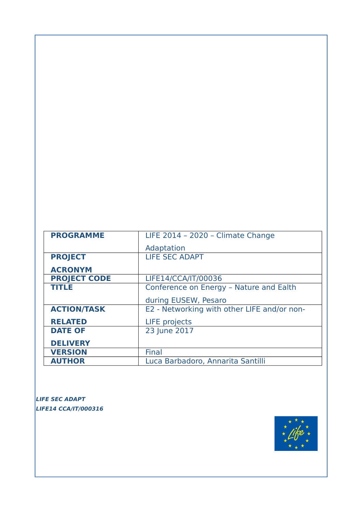| <b>PROGRAMME</b>    | LIFE 2014 - 2020 - Climate Change           |
|---------------------|---------------------------------------------|
|                     | Adaptation                                  |
| <b>PROJECT</b>      | <b>LIFE SEC ADAPT</b>                       |
| <b>ACRONYM</b>      |                                             |
| <b>PROJECT CODE</b> | LIFE14/CCA/IT/00036                         |
| <b>TITLE</b>        | Conference on Energy - Nature and Ealth     |
|                     | during EUSEW, Pesaro                        |
| <b>ACTION/TASK</b>  | E2 - Networking with other LIFE and/or non- |
| <b>RELATED</b>      | <b>LIFE</b> projects                        |
| <b>DATE OF</b>      | 23 June 2017                                |
| <b>DELIVERY</b>     |                                             |
| <b>VERSION</b>      | Final                                       |
| <b>AUTHOR</b>       | Luca Barbadoro, Annarita Santilli           |

**LIFE SEC ADAPT LIFE14 CCA/IT/000316** 

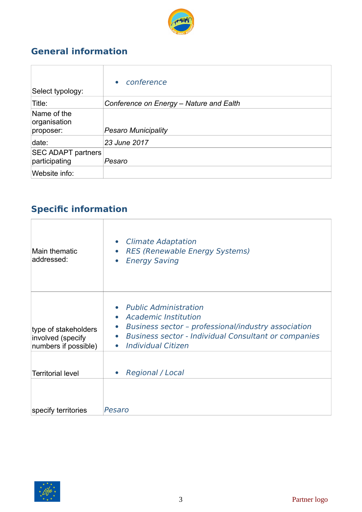

### **General information**

| Select typology:                           | conference<br>$\bullet$                 |
|--------------------------------------------|-----------------------------------------|
| Title:                                     | Conference on Energy - Nature and Ealth |
| Name of the<br>organisation<br>proposer:   | <b>Pesaro Municipality</b>              |
| date:                                      | 23 June 2017                            |
| <b>SEC ADAPT partners</b><br>participating | Pesaro                                  |
| Website info:                              |                                         |

## **Specific information**

| Main thematic<br>addressed:                                       | • Climate Adaptation<br><b>RES (Renewable Energy Systems)</b><br>$\bullet$<br><b>Energy Saving</b><br>$\bullet$                                                                                                                                                    |
|-------------------------------------------------------------------|--------------------------------------------------------------------------------------------------------------------------------------------------------------------------------------------------------------------------------------------------------------------|
| type of stakeholders<br>involved (specify<br>numbers if possible) | <b>Public Administration</b><br><b>Academic Institution</b><br>$\bullet$<br>Business sector - professional/industry association<br>$\bullet$<br><b>Business sector - Individual Consultant or companies</b><br>$\bullet$<br><b>Individual Citizen</b><br>$\bullet$ |
| <b>Territorial level</b>                                          | <b>Regional / Local</b><br>$\bullet$                                                                                                                                                                                                                               |
| specify territories                                               | Pesaro                                                                                                                                                                                                                                                             |

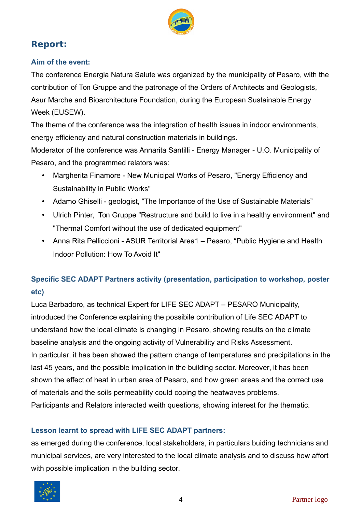

#### **Report:**

#### **Aim of the event:**

The conference Energia Natura Salute was organized by the municipality of Pesaro, with the contribution of Ton Gruppe and the patronage of the Orders of Architects and Geologists, Asur Marche and Bioarchitecture Foundation, during the European Sustainable Energy Week (EUSEW).

The theme of the conference was the integration of health issues in indoor environments, energy efficiency and natural construction materials in buildings.

Moderator of the conference was Annarita Santilli - Energy Manager - U.O. Municipality of Pesaro, and the programmed relators was:

- Margherita Finamore New Municipal Works of Pesaro, "Energy Efficiency and Sustainability in Public Works"
- Adamo Ghiselli geologist, "The Importance of the Use of Sustainable Materials"
- Ulrich Pinter, Ton Gruppe "Restructure and build to live in a healthy environment" and "Thermal Comfort without the use of dedicated equipment"
- Anna Rita Pelliccioni ASUR Territorial Area1 Pesaro, "Public Hygiene and Health Indoor Pollution: How To Avoid It"

#### **Specific SEC ADAPT Partners activity (presentation, participation to workshop, poster etc)**

Luca Barbadoro, as technical Expert for LIFE SEC ADAPT – PESARO Municipality, introduced the Conference explaining the possibile contribution of Life SEC ADAPT to understand how the local climate is changing in Pesaro, showing results on the climate baseline analysis and the ongoing activity of Vulnerability and Risks Assessment. In particular, it has been showed the pattern change of temperatures and precipitations in the last 45 years, and the possible implication in the building sector. Moreover, it has been shown the effect of heat in urban area of Pesaro, and how green areas and the correct use of materials and the soils permeability could coping the heatwaves problems. Participants and Relators interacted weith questions, showing interest for the thematic.

#### **Lesson learnt to spread with LIFE SEC ADAPT partners:**

as emerged during the conference, local stakeholders, in particulars buiding technicians and municipal services, are very interested to the local climate analysis and to discuss how affort with possible implication in the building sector.